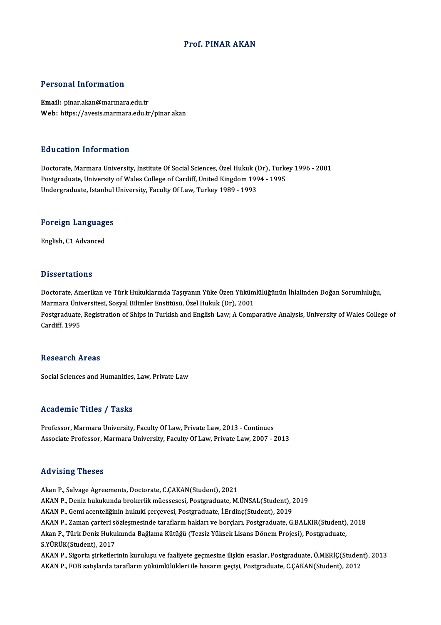### Prof. PINAR AKAN

### Personal Information

Email: pinar.akan@marmara.edu.tr Web: https://avesis.marmara.edu.tr/pinar.akan

### Education Information

Education Information<br>Doctorate, Marmara University, Institute Of Social Sciences, Özel Hukuk (Dr), Turkey 1996 - 2001<br>Postsraduate University of Walse Collage of Cardiff United Kingdom 1994 - 1995 Puususeen IIII of Inderen<br>Doctorate, Marmara University, Institute Of Social Sciences, Özel Hukuk (Dr), Turke<br>Postgraduate, University of Wales College of Cardiff, United Kingdom 1994 - 1995<br>Undergraduate, Istanbul Univers Postgraduate, University of Wales College of Cardiff, United Kingdom 1994 - 1995<br>Undergraduate, Istanbul University, Faculty Of Law, Turkey 1989 - 1993

## <sub>ondergraduate, istanbul</sub><br>Foreign Languages <mark>Foreign Languag</mark>e<br>English, C1 Advanced

English, C1 Advanced<br>Dissertations

Dissertations<br>Doctorate, Amerikan ve Türk Hukuklarında Taşıyanın Yüke Özen Yükümlülüğünün İhlalinden Doğan Sorumluluğu,<br>Marmara Üniversitesi, Sosval Bilimler Enstitüsü, Özel Hukuk (Dr.), 2001 D'isses tationis<br>Doctorate, Amerikan ve Türk Hukuklarında Taşıyanın Yüke Özen Yüküm<br>Marmara Üniversitesi, Sosyal Bilimler Enstitüsü, Özel Hukuk (Dr), 2001<br>Postaraduata Posistration of Shins in Turkish and Enslish Laur A Co Doctorate, Amerikan ve Türk Hukuklarında Taşıyanın Yüke Özen Yükümlülüğünün İhlalinden Doğan Sorumluluğu,<br>Marmara Üniversitesi, Sosyal Bilimler Enstitüsü, Özel Hukuk (Dr), 2001<br>Postgraduate, Registration of Ships in Turkis Marmara Üniversitesi, Sosyal Bilimler Enstitüsü, Özel Hukuk (Dr), 2001<br>Postgraduate, Registration of Ships in Turkish and English Law; A Comparative Analysis, University of Wales College of<br>Cardiff. 1995

#### **Research Areas**

Social Sciences and Humanities, Law, Private Law

#### Academic Titles / Tasks

Professor, Marmara University, Faculty Of Law, Private Law, 2013 - Continues Associate Professor, Marmara University, Faculty Of Law, Private Law, 2007 - 2013

#### Advising Theses

Akan P., Salvage Agreements, Doctorate, C.CAKAN(Student), 2021 11a v 1511.<br>Akan P., Salvage Agreements, Doctorate, C.ÇAKAN(Student), 2021<br>AKAN P., Deniz hukukunda brokerlik müessesesi, Postgraduate, M.ÜNSAL(Student), 2019<br>AKAN P. Comi esenteliğinin bukuki senseyesi, Postgraduate, LErd Akan P., Salvage Agreements, Doctorate, C.ÇAKAN(Student), 2021<br>AKAN P., Deniz hukukunda brokerlik müessesesi, Postgraduate, M.ÜNSAL(Student), 2<br>AKAN P., Gemi acenteliğinin hukuki çerçevesi, Postgraduate, İ.Erdinç(Student), AKAN P., Gemi acenteliğinin hukuki çerçevesi, Postgraduate, İ.Erdinç(Student), 2019<br>AKAN P., Zaman çarteri sözleşmesinde tarafların hakları ve borçları, Postgraduate, G.BALKIR(Student), 2018 AKAN P., Gemi acenteliğinin hukuki çerçevesi, Postgraduate, İ.Erdinç(Student), 2019<br>AKAN P., Zaman çarteri sözleşmesinde tarafların hakları ve borçları, Postgraduate, G.BALKIR(Student),<br>Akan P., Türk Deniz Hukukunda Bağlam AKAN P., Zaman çarteri so<br>Akan P., Türk Deniz Huku<br>S.YÜRÜK(Student), 2017<br>AKAN P. Sisorta sirketler Akan P., Türk Deniz Hukukunda Bağlama Kütüğü (Tezsiz Yüksek Lisans Dönem Projesi), Postgraduate,<br>S.YÜRÜK(Student), 2017<br>AKAN P., Sigorta şirketlerinin kuruluşu ve faaliyete geçmesine ilişkin esaslar, Postgraduate, Ö.MERİÇ( S.YÜRÜK(Student), 2017<br>AKAN P., Sigorta şirketlerinin kuruluşu ve faaliyete geçmesine ilişkin esaslar, Postgraduate, Ö.MERİÇ(Studen<br>AKAN P., FOB satışlarda tarafların yükümlülükleri ile hasarın geçişi, Postgraduate, C.ÇAKA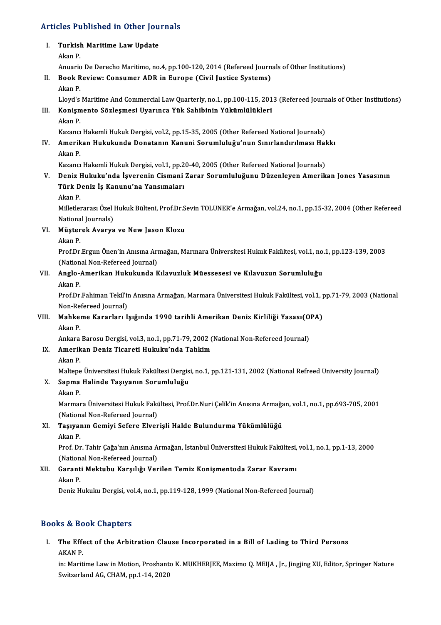# Articles Published in Other Journals

## rticles Published in Other Jou<br>I. Turkish Maritime Law Update<br>Alma B I. Turkish Maritime Law Update<br>Akan P. Turkish Maritime Law Update<br>Akan P.<br>Anuario De Derecho Maritimo, no.4, pp.100-120, 2014 (Refereed Journals of Other Institutions)<br>Book Boyjawy Consumer ADB in Europe (Civil Iustice Systems) II. Book Review: Consumer ADR in Europe (Civil Justice Systems)<br>Akan P. Anuaric<br><mark>Book R</mark><br>Akan P. Lloyd's Maritime And Commercial Law Quarterly, no.1, pp.100-115, 2013 (Refereed Journals of Other Institutions) Akan P.<br>Lloyd's Maritime And Commercial Law Quarterly, no.1, pp.100-115, 201<br>III. Konişmento Sözleşmesi Uyarınca Yük Sahibinin Yükümlülükleri<br>Akan B. Lloyd's<br><mark>Konişm</mark><br>Akan P.<br>Kazancı Konişmento Sözleşmesi Uyarınca Yük Sahibinin Yükümlülükleri<br>Akan P.<br>Kazancı Hakemli Hukuk Dergisi, vol.2, pp.15-35, 2005 (Other Refereed National Journals)<br>Amerikan Hukukunda Donatanın Kanuni Sonumluluğu'nun Sınırlandırılm Akan P.<br>IV. Aazancı Hakemli Hukuk Dergisi, vol.2, pp.15-35, 2005 (Other Refereed National Journals)<br>IV. Amerikan Hukukunda Donatanın Kanuni Sorumluluğu'nun Sınırlandırılması Hakkı<br>Akan B Kazancı<br>**Amerik**<br>Akan P. Amerikan Hukukunda Donatanın Kanuni Sorumluluğu'nun Sınırlandırılması Hal<br>Akan P.<br>Kazancı Hakemli Hukuk Dergisi, vol.1, pp.20-40, 2005 (Other Refereed National Journals)<br>Doniz Hukuku'nda İsvenenin Gismani Zanan Sorumluluğu Akan P.<br>Kazancı Hakemli Hukuk Dergisi, vol.1, pp.20-40, 2005 (Other Refereed National Journals)<br>V. Deniz Hukuku'nda İşverenin Cismani Zarar Sorumluluğunu Düzenleyen Amerikan Jones Yasasının<br>Türk Deniz İs Kanunu'ne Yana Kazancı Hakemli Hukuk Dergisi, vol.1, pp.2<br>Deniz Hukuku'nda İşverenin Cismani<br>Türk Deniz İş Kanunu'na Yansımaları<br>Akan B Türk Deniz İş Kanunu'na Yansımaları<br>Akan P.

Türk Deniz İş Kanunu'na Yansımaları<br>Akan P.<br>Milletlerarası Özel Hukuk Bülteni, Prof.Dr.Sevin TOLUNER'e Armağan, vol.24, no.1, pp.15-32, 2004 (Other Refereed Akan P.<br>Milletlerarası Özel I<br>Nästanel: Avanya<br>Müstanel: Avanya National Journals)

## VI. Müşterek Avarya ve NewJason Klozu

Müşterek Avarya ve New Jason Klozu<br>Akan P.<br>Prof.Dr.Ergun Önen'in Anısına Armağan, Marmara Üniversitesi Hukuk Fakültesi, vol.1, no.1, pp.123-139, 2003<br>(National Non Befereed Journal) Akan P.<br>Prof.Dr.Ergun Önen'in Anısına Arı<br>(National Non-Refereed Journal)<br>Angle Amerikan Hukukunda K Prof.Dr.Ergun Önen'in Anısına Armağan, Marmara Üniversitesi Hukuk Fakültesi, vol.1, no.<br>(National Non-Refereed Journal)<br>VII. Anglo-Amerikan Hukukunda Kılavuzluk Müessesesi ve Kılavuzun Sorumluluğu<br>Akan B

## (Nation<br>**Anglo-4**<br>Akan P.

Anglo-Amerikan Hukukunda Kılavuzluk Müessesesi ve Kılavuzun Sorumluluğu<br>Akan P.<br>Prof.Dr.Fahiman Tekil'in Anısına Armağan, Marmara Üniversitesi Hukuk Fakültesi, vol.1, pp.71-79, 2003 (National Akan P.<br>Prof.Dr.Fahiman Tekil'ii<br>Non-Refereed Journal)<br>Mahkama Kananlan, L Prof.Dr.Fahiman Tekil'in Anısına Armağan, Marmara Üniversitesi Hukuk Fakültesi, vol.1, <sub>I</sub><br>Non-Refereed Journal)<br>VIII. Mahkeme Kararları Işığında 1990 tarihli Amerikan Deniz Kirliliği Yasası(OPA)

## Non-Re<br>Mahker<br>Akan P. Mahkeme Kararları Işığında 1990 tarihli Amerikan Deniz Kirliliği Yasası(O)<br>Akan P.<br>Ankara Barosu Dergisi, vol.3, no.1, pp.71-79, 2002 (National Non-Refereed Journal)<br>Amerikan Deniz Tigeneti Hukuku'nde Tehkim Akan P.<br>Ankara Barosu Dergisi, vol.3, no.1, pp.71-79, 2002 (<br>IX. Amerikan Deniz Ticareti Hukuku'nda Tahkim

- Ankara<br><mark>Amerik</mark><br>Akan P.<br>Maltara
- 

Amerikan Deniz Ticareti Hukuku'nda Tahkim<br>Akan P.<br>Maltepe Üniversitesi Hukuk Fakültesi Dergisi, no.1, pp.121-131, 2002 (National Refreed University Journal)<br>Sanma Halinda Taayyanın Sanumlulužu

## Akan P.<br>Maltepe Üniversitesi Hukuk Fakültesi Dergis<br>X. Sapma Halinde Taşıyanın Sorumluluğu<br>Akan P. Maltepe<br>S<mark>apma</mark><br>Akan P.<br>Marmar

MarmaraÜniversitesiHukukFakültesi,Prof.Dr.NuriÇelik'inAnısınaArmağan,vol.1,no.1,pp.693-705,2001 (National Non-Refereed Journal) Marmara Üniversitesi Hukuk Fakültesi, Prof.Dr.Nuri Çelik'in Anısına Armağa<br>(National Non-Refereed Journal)<br>XI. Taşıyanın Gemiyi Sefere Elverişli Halde Bulundurma Yükümlülüğü<br>Akan B

## (Nation<br>Taşıyaı<br>Akan P. Akan P.<br>Prof. Dr. Tahir Çağa'nın Anısına Armağan, İstanbul Üniversitesi Hukuk Fakültesi, vol.1, no.1, pp.1-13, 2000

Akan P.<br>Prof. Dr. Tahir Çağa'nın Anısına A<br>(National Non-Refereed Journal)<br>Caranti Maktubu Karaılığı Ver

## XII. Garanti Mektubu Karşılığı Verilen Temiz Konişmentoda Zarar Kavramı<br>Akan P. (Nation<br>Garant<br>Akan P.<br>Peniz H

Deniz Hukuku Dergisi, vol.4, no.1, pp.119-128, 1999 (National Non-Refereed Journal)

## Books&Book Chapters

ooks & Book Chapters<br>I. The Effect of the Arbitration Clause Incorporated in a Bill of Lading to Third Persons<br>AKAN P No & Be<br>The Effe<br>AKAN P.<br>in: Marit

AKAN P.<br>in: Maritime Law in Motion, Proshanto K. MUKHERJEE, Maximo Q. MEIJA , Jr., Jingjing XU, Editor, Springer Nature Switzerland AG, CHAM, pp.1-14, 2020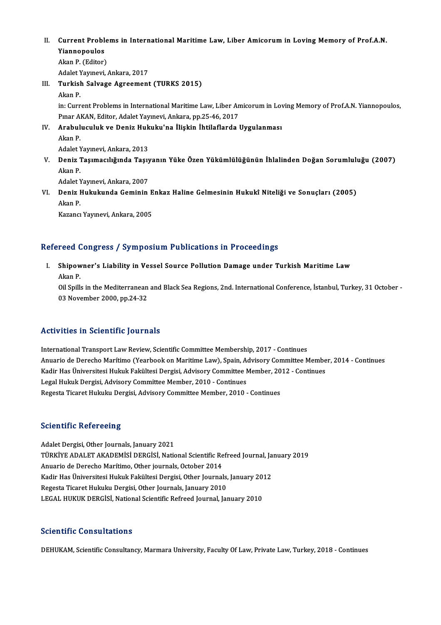II. Current Problems in International Maritime Law, Liber Amicorum in Loving Memory of Prof.A.N.<br>Vianneneules Current Proble<br>Yiannopoulos<br>Almp P. (Editor) **Current Proble<br>Yiannopoulos<br>Akan P. (Editor)**<br>Adelet Yennevi Yi<mark>annopoulos</mark><br>Akan P. (Editor)<br>Adalet Yayınevi, Ankara, 2017<br>Tunkish Salvage Agreement

Akan P. (Editor)<br>Adalet Yayınevi, Ankara, 2017<br>III. Turkish Salvage Agreement (TURKS 2015)<br>Akan P. Adalet Y<br>**Turkisl**<br>Akan P.<br>in: Curr Turkish Salvage Agreement (TURKS 2015)<br>Akan P.<br>in: Current Problems in International Maritime Law, Liber Amicorum in Loving Memory of Prof.A.N. Yiannopoulos, Akan P.<br>in: Current Problems in International Maritime Law, Liber An<br>Pınar AKAN, Editor, Adalet Yayınevi, Ankara, pp.25-46, 2017<br>Arabulusuluk ve Deniz Hukuku'na İlişkin İhtilaflarda l in: Current Problems in International Maritime Law, Liber Amicorum in Lov<br>Pınar AKAN, Editor, Adalet Yayınevi, Ankara, pp.25-46, 2017<br>IV. Arabuluculuk ve Deniz Hukuku'na İlişkin İhtilaflarda Uygulanması<br>Akan B Pinar Al<br>**Arabul**<br>Akan P. <mark>Arabuluculuk ve Deniz Huk</mark><br>Akan P.<br>Adalet Yayınevi, Ankara, 2013<br>Deniz Tesumesılığında Tesu Akan P.<br>Adalet Yayınevi, Ankara, 2013<br>V. Deniz Taşımacılığında Taşıyanın Yüke Özen Yükümlülüğünün İhlalinden Doğan Sorumluluğu (2007)<br>Akan P. Adalet Yayınevi, Ankara, 2013

De<mark>niz Taşımacılığında Taşıy</mark><br>Akan P.<br>Adalet Yayınevi, Ankara, 2007<br>Deniz Hukukunda Ceminin

Akan P.<br>Adalet Yayınevi, Ankara, 2007<br>VI. Deniz Hukukunda Geminin Enkaz Haline Gelmesinin Hukukî Niteliği ve Sonuçları (2005)<br>Also B. Adalet Y<br><mark>Deniz I</mark><br>Akan P. Deniz Hukukunda Geminin E<br>Akan P.<br>Kazancı Yayınevi, Ankara, 2005

## Kazancı Yayınevi, Ankara, 2005<br>Refereed Congress / Symposium Publications in Proceedings

efereed Congress / Symposium Publications in Proceedings<br>I. Shipowner's Liability in Vessel Source Pollution Damage under Turkish Maritime Law<br>Akan P ے عامد<br>Shipow<br>Akan P. Shipowner's Liability in Vessel Source Pollution Damage under Turkish Maritime Law<br>Akan P.<br>Oil Spills in the Mediterranean and Black Sea Regions, 2nd. International Conference, İstanbul, Turkey, 31 October -<br>03 November 20

Akan P.<br>Oil Spills in the Mediterranean<br>03 November 2000, pp.24-32

# 03 November 2000, pp.24-32<br>Activities in Scientific Journals

International Transport Law Review, Scientific Committee Membership, 2017 - Continues Anternational Transport Law Review, Scientific Committee Membership, 2017 - Continues<br>Anuario de Derecho Marítimo (Yearbook on Maritime Law), Spain, Advisory Committee Member, 2014 - Continues<br>Kodin Has Üniversitesi Huluk International Transport Law Review, Scientific Committee Membership, 2017 - Continues<br>Anuario de Derecho Marítimo (Yearbook on Maritime Law), Spain, Advisory Committee Membe<br>Kadir Has Üniversitesi Hukuk Fakültesi Dergisi, Anuario de Derecho Marítimo (Yearbook on Maritime Law), Spain, A<br>Kadir Has Üniversitesi Hukuk Fakültesi Dergisi, Advisory Committee M<br>Legal Hukuk Dergisi, Advisory Committee Member, 2010 - Continues<br>Pegasta Tigaret Hululu: Kadir Has Üniversitesi Hukuk Fakültesi Dergisi, Advisory Committee Member, 2012 - Continues<br>Legal Hukuk Dergisi, Advisory Committee Member, 2010 - Continues<br>Regesta Ticaret Hukuku Dergisi, Advisory Committee Member, 2010 -

## **Scientific Refereeing**

Adalet Dergisi, Other Journals, January 2021 Berentific Refereensi<br>Adalet Dergisi, Other Journals, January 2021<br>TÜRKİYE ADALET AKADEMİSİ DERGİSİ, National Scientific Refreed Journal, January 2019<br>Anuaria de Dereche Marítime, Other journals, Ostaber 2014 Adalet Dergisi, Other Journals, January 2021<br>TÜRKİYE ADALET AKADEMİSİ DERGİSİ, National Scientific Re<br>Anuario de Derecho Marítimo, Other journals, October 2014<br>Kedir Has Üniversitesi Hulak Fekültesi Dergisi, Other Journal TÜRKİYE ADALET AKADEMİSİ DERGİSİ, National Scientific Refreed Journal, Ja<br>Anuario de Derecho Marítimo, Other journals, October 2014<br>Kadir Has Üniversitesi Hukuk Fakültesi Dergisi, Other Journals, January 2012<br>Pegesta Tisar Anuario de Derecho Marítimo, Other journals, October 2014<br>Kadir Has Üniversitesi Hukuk Fakültesi Dergisi, Other Journals,<br>Regesta Ticaret Hukuku Dergisi, Other Journals, January 2010<br>LECAL HUKUK DERGISL National Scientific Kadir Has Üniversitesi Hukuk Fakültesi Dergisi, Other Journals, January 2012<br>Regesta Ticaret Hukuku Dergisi, Other Journals, January 2010<br>LEGAL HUKUK DERGİSİ, National Scientific Refreed Journal, January 2010

## Scientific Consultations

DEHUKAM, Scientific Consultancy, Marmara University, Faculty Of Law, Private Law, Turkey, 2018 - Continues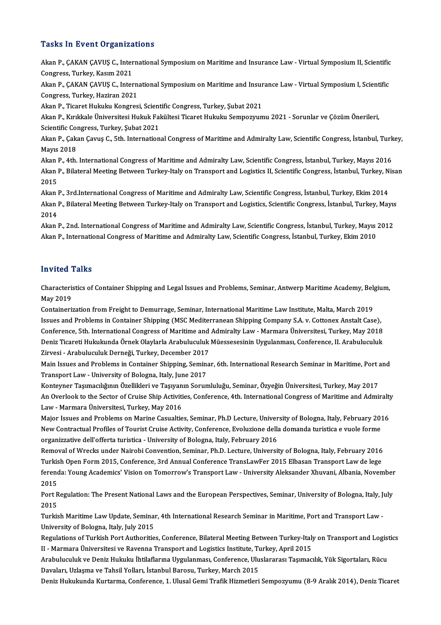## **Tasks In Event Organizations**

Tasks In Event Organizations<br>Akan P., ÇAKAN ÇAVUŞ C., International Symposium on Maritime and Insurance Law - Virtual Symposium II, Scientific<br>Congress, Turkay, Kesum 2021 Turkey, Carl Creaming<br>Akan P., ÇAKAN ÇAVUŞ C., Inter<br>Congress, Turkey, Kasım 2021 Akan P., ÇAKAN ÇAVUŞ C., International Symposium on Maritime and Insurance Law - Virtual Symposium II, Scientific<br>Congress, Turkey, Kasım 2021<br>Akan P., ÇAKAN ÇAVUŞ C., International Symposium on Maritime and Insurance Law

Congress, Turkey, Kasım 2021<br>Akan P., ÇAKAN ÇAVUŞ C., Intern<br>Congress, Turkey, Haziran 2021<br>Akan B. Tigarat Hukuku Kongres Akan P., ÇAKAN ÇAVUŞ C., International Symposium on Maritime and Insur<br>Congress, Turkey, Haziran 2021<br>Akan P., Ticaret Hukuku Kongresi, Scientific Congress, Turkey, Şubat 2021<br>Akan P., Kurkkala Üniversitesi Huluk Fekültesi

Congress, Turkey, Haziran 2021<br>Akan P., Ticaret Hukuku Kongresi, Scientific Congress, Turkey, Şubat 2021<br>Akan P., Kırıkkale Üniversitesi Hukuk Fakültesi Ticaret Hukuku Sempozyumu 2021 - Sorunlar ve Çözüm Önerileri,<br>Ssianti Akan P., Ticaret Hukuku Kongresi, Scient<br>Akan P., Kırıkkale Üniversitesi Hukuk Fal<br>Scientific Congress, Turkey, Şubat 2021<br>Akan B. Gakan Cayue C. Eth. Internation Akan P., Kırıkkale Üniversitesi Hukuk Fakültesi Ticaret Hukuku Sempozyumu 2021 - Sorunlar ve Çözüm Önerileri,<br>Scientific Congress, Turkey, Şubat 2021<br>Akan P., Çakan Çavuş C., 5th. International Congress of Maritime and Adm

Scientific Congress, Turkey, Şubat 2021<br>Akan P., Çakan Çavuş C., 5th. International Congress of Maritime and Admiralty Law, Scientific Congress, İstanbul, Turkey,<br>Mayıs 2018

Akan P., 4th. International Congress of Maritime and Admiralty Law, Scientific Congress, İstanbul, Turkey, Mayıs 2016 Mayıs 2018<br>Akan P., 4th. International Congress of Maritime and Admiralty Law, Scientific Congress, İstanbul, Turkey, Mayıs 2016<br>Akan P., Bilateral Meeting Between Turkey-Italy on Transport and Logistics II, Scientific Con Akan l<br>Akan l<br>2015<br>Akan l Akan P., Bilateral Meeting Between Turkey-Italy on Transport and Logistics II, Scientific Congress, İstanbul, Turkey, N<br>2015<br>Akan P., 3rd.International Congress of Maritime and Admiralty Law, Scientific Congress, İstanbul,

2015<br>Akan P., 3rd.International Congress of Maritime and Admiralty Law, Scientific Congress, İstanbul, Turkey, Ekim 2014<br>Akan P., Bilateral Meeting Between Turkey-Italy on Transport and Logistics, Scientific Congress, İsta Akan l<br>Akan l<br>2014<br>Akan l Akan P., Bilateral Meeting Between Turkey-Italy on Transport and Logistics, Scientific Congress, İstanbul, Turkey, Mayıs<br>2014<br>Akan P., 2nd. International Congress of Maritime and Admiralty Law, Scientific Congress, İstanbu

2014<br>Akan P., 2nd. International Congress of Maritime and Admiralty Law, Scientific Congress, İstanbul, Turkey, Mayıs<br>Akan P., International Congress of Maritime and Admiralty Law, Scientific Congress, İstanbul, Turkey, Ek Akan P., International Congress of Maritime and Admiralty Law, Scientific Congress, İstanbul, Turkey, Ekim 2010<br>Invited Talks

I**nvited Talks**<br>Characteristics of Container Shipping and Legal Issues and Problems, Seminar, Antwerp Maritime Academy, Belgium,<br>May 2019 moved<br>Characteris<br>May 2019 Characteristics of Container Shipping and Legal Issues and Problems, Seminar, Antwerp Maritime Academy, Bel<sub>l</sub><br>May 2019<br>Containerization from Freight to Demurrage, Seminar, International Maritime Law Institute, Malta, Marc

May 2019<br>Containerization from Freight to Demurrage, Seminar, International Maritime Law Institute, Malta, March 2019<br>Issues and Problems in Container Shipping (MSC Mediterranean Shipping Company S.A. v. Cottonex Anstalt C Conference, 5th. International Congress of Maritime and Admiralty Law - Marmara Üniversitesi, Turkey, May 2018 Deniz Ticareti Hukukunda Örnek Olaylarla Arabuluculuk Müessesesinin Uygulanması, Conference, II. Arabuluculuk Conference, 5th. International Congress of Maritime and<br>Deniz Ticareti Hukukunda Örnek Olaylarla Arabuluculuk<br>Zirvesi - Arabuluculuk Derneği, Turkey, December 2017<br>Main Issues and Broblams in Container Shinning, Somina

Main Issues and Problems in Container Shipping, Seminar, 6th. International Research Seminar in Maritime, Port and<br>Transport Law - University of Bologna, Italy, June 2017 Zirvesi - Arabuluculuk Derneği, Turkey, December 2017<br>Main Issues and Problems in Container Shipping, Semina<br>Transport Law - University of Bologna, Italy, June 2017<br>Kontawer Tesungslkönun Özellikleri ve Tesurann Semin Main Issues and Problems in Container Shipping, Seminar, 6th. International Research Seminar in Maritime, Port<br>Transport Law - University of Bologna, Italy, June 2017<br>Konteyner Taşımacılığının Özellikleri ve Taşıyanın Soru

Transport Law - University of Bologna, Italy, June 2017<br>Konteyner Taşımacılığının Özellikleri ve Taşıyanın Sorumluluğu, Seminar, Özyeğin Üniversitesi, Turkey, May 2017<br>An Overlook to the Sector of Cruise Ship Activities, C Konteyner Taşımacılığının Özellikleri ve Taşıyan<br>An Overlook to the Sector of Cruise Ship Activiti<br>Law - Marmara Üniversitesi, Turkey, May 2016<br>Major Issues and Problems on Marine Cosualtie An Overlook to the Sector of Cruise Ship Activities, Conference, 4th. International Congress of Maritime and Admiralty<br>Law - Marmara Üniversitesi, Turkey, May 2016<br>Major Issues and Problems on Marine Casualties, Seminar, P

Law - Marmara Üniversitesi, Turkey, May 2016<br>Major Issues and Problems on Marine Casualties, Seminar, Ph.D Lecture, University of Bologna, Italy, February 201<br>New Contractual Profiles of Tourist Cruise Activity, Conference Major Issues and Problems on Marine Casualties, Seminar, Ph.D Lecture, Univer<br>New Contractual Profiles of Tourist Cruise Activity, Conference, Evoluzione della<br>organizzative dell'offerta turistica - University of Bologna, New Contractual Profiles of Tourist Cruise Activity, Conference, Evoluzione della domanda turistica e vuole forme<br>organizzative dell'offerta turistica - University of Bologna, Italy, February 2016<br>Removal of Wrecks under N

organizzative dell'offerta turistica - University of Bologna, Italy, February 2016<br>Removal of Wrecks under Nairobi Convention, Seminar, Ph.D. Lecture, University of Bologna, Italy, February 2016<br>Turkish Open Form 2015, Con Removal of Wrecks under Nairobi Convention, Seminar, Ph.D. Lecture, University of Bologna, Italy, February 2016<br>Turkish Open Form 2015, Conference, 3rd Annual Conference TransLawFer 2015 Elbasan Transport Law de lege<br>feren Turkish Open Form 2015, Conference, 3rd Annual Conference TransLawFer 2015 Elbasan Transport Law de lege<br>ferenda: Young Academics' Vision on Tomorrow's Transport Law - University Aleksander Xhuvani, Albania, Nover<br>2015 ferenda: Young Academics' Vision on Tomorrow's Transport Law - University Aleksander Xhuvani, Albania, November<br>2015<br>Port Regulation: The Present National Laws and the European Perspectives, Seminar, University of Bologna,

2015<br>Port R<br>2015<br>Turkis Port Regulation: The Present National Laws and the European Perspectives, Seminar, University of Bologna, Italy, J<br>2015<br>Turkish Maritime Law Update, Seminar, 4th International Research Seminar in Maritime, Port and Transpo

2015<br>Turkish Maritime Law Update, Seminar, 4th International Research Seminar in Maritime, Port and Transport Law -<br>University of Bologna, Italy, July 2015 Turkish Maritime Law Update, Seminar, 4th International Research Seminar in Maritime, Port and Transport Law -<br>University of Bologna, Italy, July 2015<br>Regulations of Turkish Port Authorities, Conference, Bilateral Meeting

University of Bologna, Italy, July 2015<br>Regulations of Turkish Port Authorities, Conference, Bilateral Meeting Between Turkey-Italy<br>II - Marmara Üniversitesi ve Ravenna Transport and Logistics Institute, Turkey, April 2015 Regulations of Turkish Port Authorities, Conference, Bilateral Meeting Between Turkey-Italy on Transport and Logist<br>II - Marmara Üniversitesi ve Ravenna Transport and Logistics Institute, Turkey, April 2015<br>Arabuluculuk ve

II - Marmara Üniversitesi ve Ravenna Transport and Logistics Institute, Turkey, April 2015<br>Arabuluculuk ve Deniz Hukuku İhtilaflarına Uygulanması, Conference, Uluslararası Taşımacılık, Yük Sigortaları, Rücu<br>Davaları, Uzlaş

Deniz Hukukunda Kurtarma, Conference, 1. Ulusal Gemi Trafik Hizmetleri Sempozyumu (8-9 Aralık 2014), Deniz Ticaret